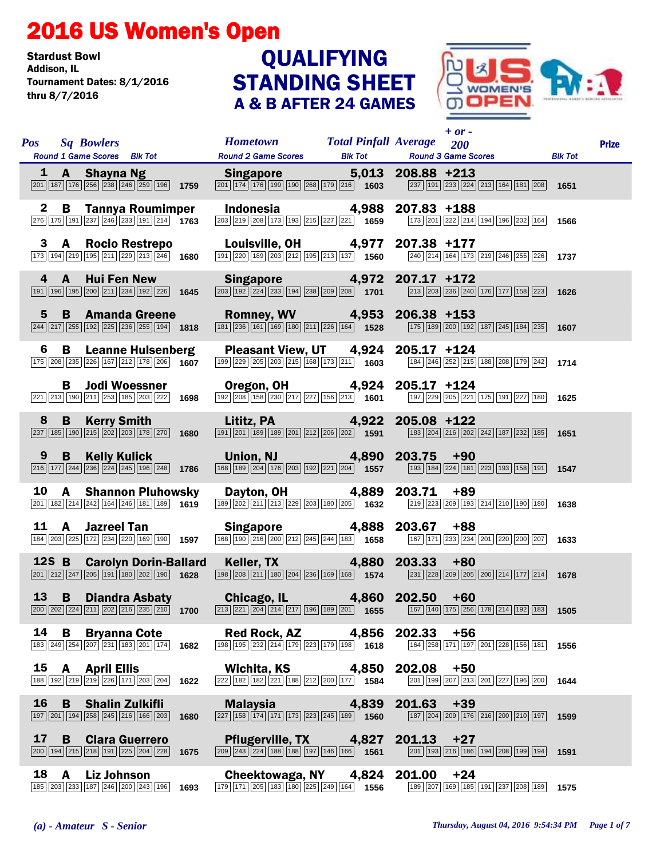## 2016 US Women's Open

Stardust Bowl<br>Addison. IL Tournament Dates: 8/1/2016 thru 8/7/2016

## STANDING SHEET A & B AFTER 24 GAMES **QUALIFYING**



| <b>Pos</b>   | <b>Sq Bowlers</b><br>Round 1 Game Scores Blk Tot                                                                                                            |      | Hometown Total Pinfall Average 200<br><b>Round 2 Game Scores</b>                                                                                                   | <b>Blk Tot</b> | $+$ or $-$<br><b>Round 3 Game Scores</b>                                                                                                                                  | <b>Blk Tot</b> | <b>Prize</b> |
|--------------|-------------------------------------------------------------------------------------------------------------------------------------------------------------|------|--------------------------------------------------------------------------------------------------------------------------------------------------------------------|----------------|---------------------------------------------------------------------------------------------------------------------------------------------------------------------------|----------------|--------------|
| 1            | A Shayna Ng<br>$\boxed{201}$ $\boxed{187}$ $\boxed{176}$ $\boxed{256}$ $\boxed{238}$ $\boxed{246}$ $\boxed{259}$ $\boxed{196}$ 1759                         |      | <b>Singapore Singapore</b><br>$\boxed{201}\boxed{174}\boxed{176}\boxed{199}\boxed{190}\boxed{268}\boxed{179}\boxed{216}$ <b>1603</b>                               |                | 5,013 208.88 +213<br>$\boxed{237}$ $\boxed{191}$ $\boxed{233}$ $\boxed{224}$ $\boxed{213}$ $\boxed{164}$ $\boxed{181}$ $\boxed{208}$ <b>1651</b>                          |                |              |
| $\mathbf{2}$ | <b>B</b> Tannya Roumimper<br>$\boxed{276}\boxed{175}\boxed{191}\boxed{237}\boxed{246}\boxed{233}\boxed{191}\boxed{214}$ 1763                                |      | Indonesia 4,988<br>$\boxed{203}$ $\boxed{219}$ $\boxed{208}$ $\boxed{173}$ $\boxed{193}$ $\boxed{215}$ $\boxed{227}$ $\boxed{221}$ <b>1659</b>                     |                | 207.83 +188<br>173 201 222 214 194 196 202 164                                                                                                                            | 1566           |              |
| 3            | A Rocio Restrepo<br>$\boxed{173}$ $\boxed{194}$ $\boxed{219}$ $\boxed{195}$ $\boxed{211}$ $\boxed{229}$ $\boxed{213}$ $\boxed{246}$ <b>1680</b>             |      | <b>Louisville, OH 4,977 207.38 +177 199 200 189 200 212 199 213 137</b> 1560 <b>240 214 164 173</b>                                                                |                | 240 214 164 173 219 246 255 226                                                                                                                                           | 1737           |              |
| 4            | $\overline{A}$<br><b>Hui Fen New</b><br>191 196 195 200 211 234 192 226 1645                                                                                |      | Singapore 4,972 207.17 +172<br>$\frac{1}{203} \sqrt{192} \sqrt{224} \sqrt{233} \sqrt{194} \sqrt{238} \sqrt{209} \sqrt{208}$ 1701                                   |                | $\boxed{213}$ $\boxed{203}$ $\boxed{236}$ $\boxed{240}$ $\boxed{176}$ $\boxed{177}$ $\boxed{158}$ $\boxed{223}$ <b>1626</b>                                               |                |              |
| 5            | <b>Amanda Greene</b><br>B.<br>$\boxed{244}$ $\boxed{217}$ $\boxed{255}$ $\boxed{192}$ $\boxed{225}$ $\boxed{236}$ $\boxed{255}$ $\boxed{194}$ <b>1818</b>   |      | Romney, WV 4,953 206.38 +153<br>$\frac{18011129}{181 236 161 169 180 211 226 164}$ 1528                                                                            |                | [175   189   200   192   187   245   184   235   1607                                                                                                                     |                |              |
| 6            | B<br><b>Leanne Hulsenberg</b><br>$\boxed{175}\boxed{208}\boxed{235}\boxed{226}\boxed{167}\boxed{212}\boxed{178}\boxed{206}$ 1607                            |      | Pleasant View, UT 4,924<br>$\boxed{199}\boxed{229}\boxed{205}\boxed{203}\boxed{215}\boxed{168}\boxed{173}\boxed{211}$ 1603                                         |                | 205.17 +124<br>184 246 252 215 188 208 179 242                                                                                                                            | 1714           |              |
|              | <b>Jodi Woessner</b><br>B.<br>221 213 190 211 253 185 203 222 1698                                                                                          |      | <b>Oregon, OH 4,924 205.17 +124 192 108 1188 1289 1281 1281 1281 1281 1281 1281 1281 1281 1601 197 229 205 221</b>                                                 |                | 197 229 205 221 175 191 227 180                                                                                                                                           | 1625           |              |
| 8            | B<br><b>Kerry Smith Kerry Smith</b><br>$\boxed{237}$ 185 190 215 202 203 178 270 1680                                                                       |      | Lititz, PA 4,922<br>$\boxed{191}$ $\boxed{201}$ $\boxed{189}$ $\boxed{189}$ $\boxed{201}$ $\boxed{212}$ $\boxed{206}$ $\boxed{202}$ $\boxed{1591}$                 |                | 205.08 +122<br>$\boxed{183}$ $\boxed{204}$ $\boxed{216}$ $\boxed{202}$ $\boxed{242}$ $\boxed{187}$ $\boxed{232}$ $\boxed{185}$ <b>1651</b>                                |                |              |
| 9            | <b>Kelly Kulick Kelly</b><br>B —<br>$\boxed{216}$ 177 $\boxed{244}$ $\boxed{236}$ $\boxed{224}$ $\boxed{245}$ 196 $\boxed{248}$ 1786                        |      | Union, NJ 4,890 203.75 +90<br>$\boxed{168}$ $\boxed{189}$ $\boxed{204}$ $\boxed{176}$ $\boxed{203}$ $\boxed{192}$ $\boxed{221}$ $\boxed{204}$ <b>1557</b>          |                | $\boxed{193}$ $\boxed{184}$ $\boxed{224}$ $\boxed{181}$ $\boxed{223}$ $\boxed{193}$ $\boxed{158}$ $\boxed{191}$ <b>1547</b>                                               |                |              |
| 10           | <b>A</b> Shannon Pluhowsky<br>201 182 214 242 164 246 181 189 1619                                                                                          |      | Dayton, OH 4,889<br>$\boxed{189}\boxed{202}\boxed{211}\boxed{213}\boxed{229}\boxed{203}\boxed{180}\boxed{205}$ <b>1632</b>                                         |                | 203.71<br>+89<br>219 223 209 193 214 210 190 180                                                                                                                          | 1638           |              |
|              | 11 A<br><b>Jazreel Tan</b><br>184 203 225 172 234 220 169 190 1597                                                                                          |      | Singapore 4,888<br>$\boxed{168}$ $\boxed{190}$ $\boxed{216}$ $\boxed{200}$ $\boxed{212}$ $\boxed{245}$ $\boxed{244}$ $\boxed{183}$ $\boxed{1658}$                  |                | 203.67<br>$+88$<br>167 171 233 234 201 220 200 207                                                                                                                        | 1633           |              |
| $12S$ B      | <b>Carolyn Dorin-Ballard</b><br>$\boxed{201}$ $\boxed{212}$ $\boxed{247}$ $\boxed{205}$ $\boxed{191}$ $\boxed{180}$ $\boxed{202}$ $\boxed{190}$ <b>1628</b> |      | Keller, TX 4,880 203.33<br>$\boxed{198}\boxed{208}\boxed{211}\boxed{180}\boxed{204}\boxed{236}\boxed{169}\boxed{168}$ 1574                                         |                | $+80$<br>$\boxed{231}\boxed{228}\boxed{209}\boxed{205}\boxed{200}\boxed{214}\boxed{177}\boxed{214}$ 1678                                                                  |                |              |
|              |                                                                                                                                                             |      |                                                                                                                                                                    |                | <b>13 B Diandra Asbaty Chicago, IL 4,860 202.50 +60</b><br>200 202 224 211 202 216 235 210 1700 213 221 204 214 217 196 189 201 1655 167 140 175 256 178 214 192 183 1505 |                |              |
| 14           | В<br><b>Bryanna Cote</b><br>183 249 254 207 231 183 201 174                                                                                                 | 1682 | <b>Red Rock, AZ</b><br>$\boxed{198}\boxed{195}\boxed{232}\boxed{214}\boxed{179}\boxed{223}\boxed{179}\boxed{198}$ 1618                                             | 4,856          | 202.33<br>+56<br>164 258 171 197 201 228 156 181                                                                                                                          | 1556           |              |
|              | 15 A April Ellis<br>188 192 219 219 226 171 203 204                                                                                                         | 1622 | Wichita, KS<br>$\sqrt{222}\sqrt{182}\sqrt{182}\sqrt{221}\sqrt{188}\sqrt{212}\sqrt{200}\sqrt{177}\$ 1584                                                            | 4,850          | 202.08<br>$+50$<br>201   199   207   213   201   227   196   200                                                                                                          | 1644           |              |
| 16           | B<br><b>Shalin Zulkifli</b><br>197 201 194 258 245 216 166 203                                                                                              | 1680 | <b>Malaysia</b><br>$\sqrt{227}\sqrt{158}\sqrt{174}\sqrt{171}\sqrt{173}\sqrt{223}\sqrt{245}\sqrt{189}\$ 1560                                                        | 4,839          | 201.63<br>$+39$<br>187 204 209 176 216 200 210 197                                                                                                                        | 1599           |              |
| 17           | B<br><b>Clara Guerrero</b><br>$\boxed{200}$ 194 215 218 191 225 204 228                                                                                     | 1675 | <b>Pflugerville, TX</b><br>$\boxed{209}$ $\boxed{243}$ $\boxed{224}$ $\boxed{188}$ $\boxed{188}$ $\boxed{197}$ $\boxed{146}$ $\boxed{166}$ $\boxed{1}$ <b>1561</b> | 4,827          | 201.13<br>$+27$<br>$\boxed{201}$ 193 $\boxed{216}$ 186 $\boxed{194}$ $\boxed{208}$ 199 194                                                                                | 1591           |              |
| 18           | $\mathbf{A}$<br><b>Liz Johnson</b><br>185 203 233 187 246 200 243 196                                                                                       | 1693 | <b>Cheektowaga, NY</b><br>179 171 205 183 180 225 249 164 1556                                                                                                     | 4,824          | 201.00<br>$+24$<br>189 207 169 185 191 237 208 189                                                                                                                        | 1575           |              |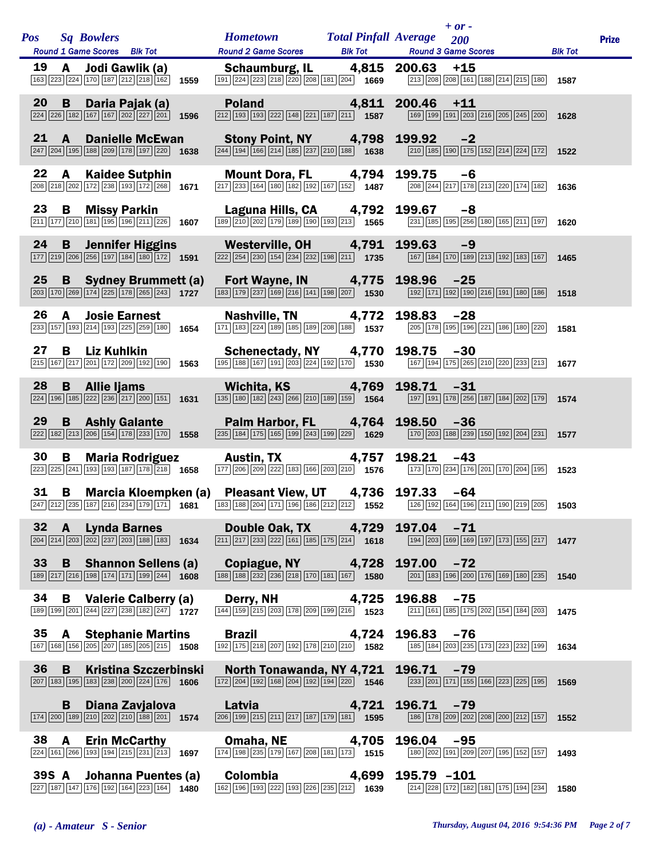|              |              |                                                                                                                                                        |  | <b>Hometown Total Pinfall Average</b>                                                                                                                                   |                |             | $+ or -$                                                                                                                             |                |              |
|--------------|--------------|--------------------------------------------------------------------------------------------------------------------------------------------------------|--|-------------------------------------------------------------------------------------------------------------------------------------------------------------------------|----------------|-------------|--------------------------------------------------------------------------------------------------------------------------------------|----------------|--------------|
| <b>Pos</b>   |              | <b>Sq Bowlers</b><br>Round 1 Game Scores Blk Tot                                                                                                       |  | <b>Round 2 Game Scores</b>                                                                                                                                              | <b>Blk Tot</b> |             | 200<br><b>Round 3 Game Scores</b>                                                                                                    | <b>Blk Tot</b> | <b>Prize</b> |
| 19           |              | A Jodi Gawlik (a)<br>163 223 224 170 187 212 218 162 1559                                                                                              |  | Schaumburg, IL 4,815 200.63<br>$\boxed{191}$ $\boxed{224}$ $\boxed{223}$ $\boxed{218}$ $\boxed{220}$ $\boxed{208}$ $\boxed{181}$ $\boxed{204}$ <b>1669</b>              |                |             | $+15$<br>213 208 208 161 188 214 215 180 1587                                                                                        |                |              |
| 20           | B            | Daria Pajak (a)<br>$\boxed{224}\boxed{226}\boxed{182}\boxed{167}\boxed{167}\boxed{202}\boxed{227}\boxed{201}\boxed{1}$ 1596                            |  | Poland 4,811 200.46<br>$\boxed{212}$ $\boxed{193}$ $\boxed{193}$ $\boxed{222}$ $\boxed{148}$ $\boxed{221}$ $\boxed{187}$ $\boxed{211}$ <b>1587</b>                      |                |             | $+11$<br>$\boxed{169}$ $\boxed{199}$ $\boxed{191}$ $\boxed{203}$ $\boxed{216}$ $\boxed{205}$ $\boxed{245}$ $\boxed{200}$ <b>1628</b> |                |              |
| $21 \quad A$ |              | <b>Danielle McEwan</b><br>$\boxed{247}$ $\boxed{204}$ $\boxed{195}$ $\boxed{188}$ $\boxed{209}$ $\boxed{178}$ $\boxed{197}$ $\boxed{220}$ <b>1638</b>  |  | <b>Stony Point, NY</b> 4,798 199.92<br>244 194 166 214 185 237 210 188 1638 210 185                                                                                     |                |             | $-2$<br>$\boxed{210}$ 185 190 175 152 214 224 172 1522                                                                               |                |              |
| 22           | A            | <b>Kaidee Sutphin</b><br>208 218 202 172 238 193 172 268 1671                                                                                          |  | Mount Dora, FL 4,794<br>$\boxed{217}$ $\boxed{233}$ $\boxed{164}$ $\boxed{180}$ $\boxed{182}$ $\boxed{192}$ $\boxed{167}$ $\boxed{152}$ <b>1487</b>                     |                | 199.75      | -6<br>208 244 217 178 213 220 174 182 1636                                                                                           |                |              |
| 23           | <b>B</b>     | <b>Missy Parkin</b><br>$\boxed{211}\boxed{177}\boxed{210}\boxed{181}\boxed{195}\boxed{196}\boxed{211}\boxed{226}$ 1607                                 |  | <b>Laguna Hills, CA 4,792 199.67</b> -8<br>189 210 202 179 189 190 193 213 1565 231 185 195 256 180 165 211 197                                                         |                |             |                                                                                                                                      | 1620           |              |
| 24           | B            | <b>Jennifer Higgins</b><br>$\boxed{177}$ $\boxed{219}$ $\boxed{206}$ $\boxed{256}$ $\boxed{197}$ $\boxed{184}$ $\boxed{180}$ $\boxed{172}$ <b>1591</b> |  | Westerville, OH 4,791<br>$\boxed{222}\boxed{254}\boxed{230}\boxed{154}\boxed{234}\boxed{232}\boxed{198}\boxed{211}$ <b>1735</b>                                         |                | 199.63      | $-9$<br>167 184 170 189 213 192 183 167 1465                                                                                         |                |              |
| 25           | B —          | <b>Sydney Brummett (a)</b><br>$\boxed{203}$ 170 $\boxed{269}$ 174 $\boxed{225}$ 178 $\boxed{265}$ 243 1727                                             |  | Fort Wayne, IN 4,775 198.96<br>$\boxed{183}$ $\boxed{179}$ $\boxed{237}$ $\boxed{169}$ $\boxed{216}$ $\boxed{141}$ $\boxed{198}$ $\boxed{207}$ <b>1530</b>              |                |             | $-25$<br>192 171 192 190 216 191 180 186 1518                                                                                        |                |              |
| 26           | A            | <b>Josie Earnest</b><br>233 157 193 214 193 225 259 180 1654                                                                                           |  | Nashville, TN 4,772<br>$\boxed{171}$ $\boxed{183}$ $\boxed{224}$ $\boxed{189}$ $\boxed{185}$ $\boxed{189}$ $\boxed{208}$ $\boxed{188}$ <b>1537</b>                      |                | 198.83      | $-28$<br>205 178 195 196 221 186 180 220                                                                                             | 1581           |              |
| 27           | B            | Liz Kuhlkin<br>$\boxed{215}$ $\boxed{167}$ $\boxed{217}$ $\boxed{201}$ $\boxed{172}$ $\boxed{209}$ $\boxed{192}$ $\boxed{190}$ <b>1563</b>             |  | Schenectady, NY 4,770 198.75<br>$\boxed{195}$ $\boxed{188}$ $\boxed{167}$ $\boxed{191}$ $\boxed{203}$ $\boxed{224}$ $\boxed{192}$ $\boxed{170}$ $\boxed{1}$ <b>1530</b> |                |             | $-30$<br>167 194 175 265 210 220 233 213 1677                                                                                        |                |              |
| 28           | B            | Allie Ijams<br>$\boxed{224}$ 196 185 222 236 217 200 151 1631                                                                                          |  | Wichita, KS 4,769<br>$\boxed{135}$ $\boxed{180}$ $\boxed{182}$ $\boxed{243}$ $\boxed{266}$ $\boxed{210}$ $\boxed{189}$ $\boxed{159}$ $\boxed{1564}$                     |                | 198.71      | $-31$<br>197 191 178 256 187 184 202 179 1574                                                                                        |                |              |
| 29           | B            | <b>Ashly Galante</b><br>$\boxed{222}\boxed{182}\boxed{213}\boxed{206}\boxed{154}\boxed{178}\boxed{233}\boxed{170}$ 1558                                |  | Palm Harbor, FL 4,764 198.50<br>$\overline{235}$ 184 175 165 199 243 199 229 1629                                                                                       |                |             | $-36$<br>170 203 188 239 150 192 204 231 1577                                                                                        |                |              |
| 30           | В            | <b>Maria Rodriguez</b><br>$\boxed{223}\boxed{225}\boxed{241}\boxed{193}\boxed{193}\boxed{187}\boxed{178}\boxed{218}$ 1658                              |  | Austin, TX<br>$\boxed{177}$ $\boxed{206}$ $\boxed{209}$ $\boxed{222}$ $\boxed{183}$ $\boxed{166}$ $\boxed{203}$ $\boxed{210}$ $\boxed{1576}$                            | 4,757          | 198.21      | $-43$<br>173 170 234 176 201 170 204 195 1523                                                                                        |                |              |
| 31           | В            | Marcia Kloempken (a)<br>$\overline{ 247   212   235   187   216   234   179   171 }$ 1681                                                              |  | Pleasant View, UT 4,736 197.33 -64<br>183   188   204   171   196   186   212   212   1552   126   192   164   196   211   190   219   205                              |                |             |                                                                                                                                      | 1503           |              |
| 32           | $\mathbf{A}$ | Lynda Barnes<br>$\boxed{204}\boxed{214}\boxed{203}\boxed{202}\boxed{237}\boxed{203}\boxed{188}\boxed{183}$ 1634                                        |  | Double Oak, TX 4,729<br>$\boxed{211}\boxed{217}\boxed{233}\boxed{222}\boxed{161}\boxed{185}\boxed{175}\boxed{214}$ 1618                                                 |                | 197.04      | $-71$<br>[194] 203   169   169   197   173   155   217   1477                                                                        |                |              |
| 33           | B            | <b>Shannon Sellens (a)</b><br>189 217 216 198 174 171 199 244 1608                                                                                     |  | Copiague, NY 4,728<br>$\frac{1}{188} \sqrt{188} \sqrt{232} \sqrt{236} \sqrt{218} \sqrt{170} \sqrt{167}$                                                                 |                | 197.00      | $-72$<br>201   183   196   200   176   169   180   235                                                                               | 1540           |              |
| 34           | В            | <b>Valerie Calberry (a)</b><br>189 199 201 244 227 238 182 247 1727                                                                                    |  | Derry, NH<br>$\boxed{144}$ $\boxed{159}$ $\boxed{215}$ $\boxed{203}$ $\boxed{178}$ $\boxed{209}$ $\boxed{199}$ $\boxed{216}$ 1523                                       | 4,725          | 196.88      | $-75$<br>$\boxed{211}$ 161 185 175 202 154 184 203                                                                                   | 1475           |              |
| 35           | $\mathbf{A}$ | <b>Stephanie Martins</b><br>167 168 156 205 207 185 205 215 1508                                                                                       |  | <b>Brazil</b><br>192 175 218 207 192 178 210 210 1582                                                                                                                   | 4,724          | 196.83      | $-76$<br>185 184 203 235 173 223 232 199                                                                                             | 1634           |              |
| 36           | B            | <b>Kristina Szczerbinski</b><br>207   183   195   183   238   200   224   176   1606                                                                   |  | North Tonawanda, NY 4,721<br>$\boxed{172}\boxed{204}\boxed{192}\boxed{168}\boxed{204}\boxed{192}\boxed{194}\boxed{220}$ 1546                                            |                | 196.71      | $-79$<br>$\boxed{233}\ \boxed{201}\ \boxed{171}\ \boxed{155}\ \boxed{166}\ \boxed{223}\ \boxed{225}\ \boxed{195}$                    | 1569           |              |
|              | В            | Diana Zavjalova<br>$\boxed{174}$ $\boxed{200}$ $\boxed{189}$ $\boxed{210}$ $\boxed{202}$ $\boxed{210}$ $\boxed{188}$ $\boxed{201}$ 1574                |  | Latvia<br>$\boxed{206}$ $\boxed{199}$ $\boxed{215}$ $\boxed{211}$ $\boxed{217}$ $\boxed{187}$ $\boxed{179}$ $\boxed{181}$ $\boxed{1595}$                                | 4,721          | 196.71      | $-79$<br>186 178 209 202 208 200 212 157 1552                                                                                        |                |              |
| 38           | A            | <b>Erin McCarthy</b><br>$\boxed{224}$ 161 $\boxed{266}$ 193 194 215 231 213 1697                                                                       |  | Omaha, NE<br>$\boxed{174}$ $\boxed{198}$ $\boxed{235}$ $\boxed{179}$ $\boxed{167}$ $\boxed{208}$ $\boxed{181}$ $\boxed{173}$ $\boxed{1515}$                             | 4,705          | 196.04      | $-95$<br>180 202 191 209 207 195 152 157                                                                                             | 1493           |              |
| 39S A        |              | Johanna Puentes (a)<br>$\boxed{227}$ 187 147 176 192 164 223 164 1480                                                                                  |  | <b>Colombia</b><br>162 196 193 222 193 226 235 212 1639                                                                                                                 | 4,699          | 195.79 -101 | 214 228 172 182 181 175 194 234                                                                                                      | 1580           |              |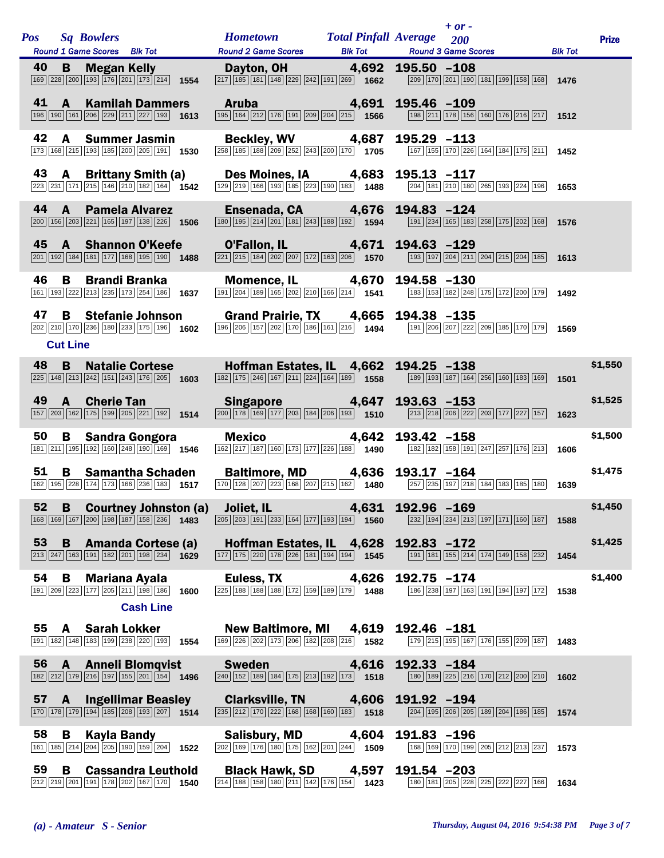| <b>Pos</b> |                      | <b>Sq Bowlers</b><br>Round 1 Game Scores Blk Tot                                                                                                                   |      | <b>Hometown</b><br><b>Round 2 Game Scores</b>                                                                                                                                          | <b>Total Pinfall Average</b><br><b>Blk Tot</b> |                | $+ or -$<br>200<br><b>Round 3 Game Scores</b>                                                                               | <b>Blk Tot</b> | <b>Prize</b> |
|------------|----------------------|--------------------------------------------------------------------------------------------------------------------------------------------------------------------|------|----------------------------------------------------------------------------------------------------------------------------------------------------------------------------------------|------------------------------------------------|----------------|-----------------------------------------------------------------------------------------------------------------------------|----------------|--------------|
| 40         | B                    | <b>Megan Kelly</b><br>169 228 200 193 176 201 173 214 1554                                                                                                         |      | Dayton, OH<br>$\boxed{217}$ $\boxed{185}$ $\boxed{181}$ $\boxed{148}$ $\boxed{229}$ $\boxed{242}$ $\boxed{191}$ $\boxed{269}$ <b>1662</b>                                              | 4,692                                          | $195.50 - 108$ | $\boxed{209}$ 170 201 190 181 199 158 168 1476                                                                              |                |              |
| 41         | $\mathbf{A}$         | <b>Kamilah Dammers</b><br>196 190 161 206 229 211 227 193 1613                                                                                                     |      | <b>Aruba</b><br>$\boxed{195}$ $\boxed{164}$ $\boxed{212}$ $\boxed{176}$ $\boxed{191}$ $\boxed{209}$ $\boxed{204}$ $\boxed{215}$ <b>1566</b>                                            | 4,691                                          | 195.46 -109    | 198 211 178 156 160 176 216 217 1512                                                                                        |                |              |
| 42         | A                    | <b>Summer Jasmin</b><br>173 168 215 193 185 200 205 191 1530                                                                                                       |      | Beckley, WV 4,687<br>$\boxed{258}\ \boxed{185}\ \boxed{188}\ \boxed{209}\ \boxed{252}\ \boxed{243}\ \boxed{200}\ \boxed{170}\ \tag{1705}$                                              |                                                | $195.29 - 113$ | 167 155 170 226 164 184 175 211                                                                                             | 1452           |              |
| 43         | A                    | <b>Brittany Smith (a)</b><br>$\overline{223}\overline{231}\overline{171}\overline{171}\overline{215}\overline{146}\overline{210}\overline{182}\overline{164}$ 1542 |      | Des Moines, IA 4,683<br>$\boxed{129}$ $\boxed{219}$ $\boxed{166}$ $\boxed{193}$ $\boxed{185}$ $\boxed{223}$ $\boxed{190}$ $\boxed{183}$ $\boxed{1488}$                                 |                                                | $195.13 - 117$ | $\boxed{204}$ 181 $\boxed{210}$ 180 $\boxed{265}$ 193 $\boxed{224}$ 196 1653                                                |                |              |
| 44         | $\mathbf{A}$         | <b>Pamela Alvarez</b><br>200 156 203 221 165 197 138 226 1506                                                                                                      |      | Ensenada, CA 4,676<br>$\boxed{180}$ $\boxed{195}$ $\boxed{214}$ $\boxed{201}$ $\boxed{181}$ $\boxed{243}$ $\boxed{188}$ $\boxed{192}$ <b>1594</b>                                      |                                                | $194.83 - 124$ | [191] 234 165 183 258 175 202 168 1576                                                                                      |                |              |
| 45         |                      | <b>A</b> Shannon O'Keefe<br>201 192 184 181 177 168 195 190                                                                                                        | 1488 | O'Fallon, IL 4,671 194.63 -129<br>$\boxed{221}\boxed{215}\boxed{184}\boxed{202}\boxed{207}\boxed{172}\boxed{163}\boxed{206}$ <b>1570</b>                                               |                                                |                | $\boxed{193}$ $\boxed{197}$ $\boxed{204}$ $\boxed{211}$ $\boxed{204}$ $\boxed{215}$ $\boxed{204}$ $\boxed{185}$ <b>1613</b> |                |              |
| 46         | B                    | <b>Brandi Branka</b><br>161 193 222 213 235 173 254 186 1637                                                                                                       |      | Momence, IL 4,670<br>191 204 189 165 202 210 166 214 1541                                                                                                                              |                                                | 194.58 -130    | 183 153 182 248 175 172 200 179 1492                                                                                        |                |              |
| 47         | B<br><b>Cut Line</b> | <b>Stefanie Johnson</b><br>202 210 170 236 180 233 175 196 1602                                                                                                    |      | Grand Prairie, TX 4,665 194.38 -135<br>196 206 157 202 170 186 161 216 1494                                                                                                            |                                                |                | 191 206 207 222 209 185 170 179 1569                                                                                        |                |              |
| 48         | B                    | <b>Natalie Cortese</b><br>$\overline{225}$ 148 213 242 151 243 176 205 1603                                                                                        |      | Hoffman Estates, IL 4,662<br>$\overline{182}$ 175 246 167 211 224 164 189 1558                                                                                                         |                                                | $194.25 - 138$ | 189 193 187 164 256 160 183 169                                                                                             |                | \$1,550      |
| 49         |                      | A Cherie Tan<br>157 203 162 175 199 205 221 192 1514                                                                                                               |      | Singapore 4,647<br>$\boxed{200}$ 178 169 177 203 184 206 193 1510                                                                                                                      |                                                | $193.63 - 153$ | 213 218 206 222 203 177 227 157                                                                                             | 1501<br>1623   | \$1,525      |
| 50         | B                    | <b>Sandra Gongora</b><br>181 211 195 192 160 248 190 169 1546                                                                                                      |      | <b>Mexico</b><br>$\boxed{162}\boxed{217}\boxed{187}\boxed{160}\boxed{173}\boxed{177}\boxed{226}\boxed{188}$ 1490                                                                       | 4,642                                          | 193.42 -158    | 182 182 158 191 247 257 176 213                                                                                             | 1606           | \$1,500      |
| 51         | B                    | <b>Samantha Schaden</b><br>162 195 228 174 173 166 236 183 1517                                                                                                    |      | Baltimore, MD 4,636 193.17 -164<br>$\boxed{170}$ $\boxed{128}$ $\boxed{207}$ $\boxed{223}$ $\boxed{168}$ $\boxed{207}$ $\boxed{215}$ $\boxed{162}$ $\boxed{1480}$                      |                                                |                | 257 235 197 218 184 183 185 180                                                                                             | 1639           | \$1,475      |
|            |                      | 168 169 167 200 198 187 158 236 1483                                                                                                                               |      | 52 B Courtney Johnston (a) Joliet, IL 4,631 192.96 -169<br>$\boxed{205}$ $\boxed{203}$ $\boxed{191}$ $\boxed{233}$ $\boxed{164}$ $\boxed{177}$ $\boxed{193}$ $\boxed{194}$ <b>1560</b> |                                                |                | 232 194 234 213 197 171 160 187 1588                                                                                        |                | \$1,450      |
| 53         |                      | <b>B</b> Amanda Cortese (a)<br>$\boxed{213}\boxed{247}\boxed{163}\boxed{191}\boxed{182}\boxed{201}\boxed{198}\boxed{234}$ 1629                                     |      | Hoffman Estates, IL 4,628 192.83 -172<br>$\boxed{177}$ $\boxed{175}$ $\boxed{220}$ $\boxed{178}$ $\boxed{226}$ $\boxed{181}$ $\boxed{194}$ $\boxed{194}$ <b>1545</b>                   |                                                |                | 191 181 155 214 174 149 158 232 1454                                                                                        |                | \$1,425      |
| 54         | B                    | Mariana Ayala<br>191 209 223 177 205 211 198 186 1600                                                                                                              |      | Euless, TX 4,626<br>225 188 188 188 172 159 189 179 1488                                                                                                                               |                                                | $192.75 - 174$ | 186 238 197 163 191 194 197 172                                                                                             | 1538           | \$1,400      |
|            |                      | <b>Cash Line</b>                                                                                                                                                   |      |                                                                                                                                                                                        |                                                |                |                                                                                                                             |                |              |
|            |                      | 55 A Sarah Lokker<br>191 182 148 183 199 238 220 193 1554                                                                                                          |      | New Baltimore, MI 4,619<br>$\boxed{169}$ $\boxed{226}$ $\boxed{202}$ $\boxed{173}$ $\boxed{206}$ $\boxed{182}$ $\boxed{208}$ $\boxed{216}$ <b>1582</b>                                 |                                                | 192.46 -181    | 179 215 195 167 176 155 209 187                                                                                             | 1483           |              |
|            |                      | 56 A Anneli Blomqvist<br>182 212 179 216 197 155 201 154 1496                                                                                                      |      | <b>Sweden Sweden</b><br>$\boxed{240}$ $\boxed{152}$ $\boxed{189}$ $\boxed{184}$ $\boxed{175}$ $\boxed{213}$ $\boxed{192}$ $\boxed{173}$ <b>1518</b>                                    | 4,616                                          | 192.33 -184    | $\boxed{180}$ $\boxed{189}$ $\boxed{225}$ $\boxed{216}$ $\boxed{170}$ $\boxed{212}$ $\boxed{200}$ $\boxed{210}$ <b>1602</b> |                |              |
| 57         | <b>A</b>             | <b>Ingellimar Beasley</b><br>$\boxed{170}$ $\boxed{178}$ $\boxed{179}$ $\boxed{194}$ $\boxed{185}$ $\boxed{208}$ $\boxed{193}$ $\boxed{207}$ 1514                  |      | Clarksville, TN 4,606<br>$\boxed{235}$ $\boxed{212}$ $\boxed{170}$ $\boxed{222}$ $\boxed{168}$ $\boxed{168}$ $\boxed{160}$ $\boxed{183}$ $\boxed{163}$                                 |                                                | 191.92 -194    | 204 195 206 205 189 204 186 185 1574                                                                                        |                |              |
| 58         | B                    | <b>Kayla Bandy</b><br>161   185   214   204   205   190   159   204                                                                                                | 1522 | Salisbury, MD 4,604<br>$\boxed{202}$ $\boxed{169}$ $\boxed{176}$ $\boxed{180}$ $\boxed{175}$ $\boxed{162}$ $\boxed{201}$ $\boxed{244}$ 1509                                            |                                                | 191.83 -196    | 168 169 170 199 205 212 213 237 1573                                                                                        |                |              |
| 59         | В                    | <b>Cassandra Leuthold</b><br>212 219 201 191 178 202 167 170                                                                                                       | 1540 | Black Hawk, SD 4,597<br>$\boxed{214}$ $\boxed{188}$ $\boxed{158}$ $\boxed{180}$ $\boxed{211}$ $\boxed{142}$ $\boxed{176}$ $\boxed{154}$ 1423                                           |                                                | 191.54 -203    | 180 181 205 228 225 222 227 166                                                                                             | 1634           |              |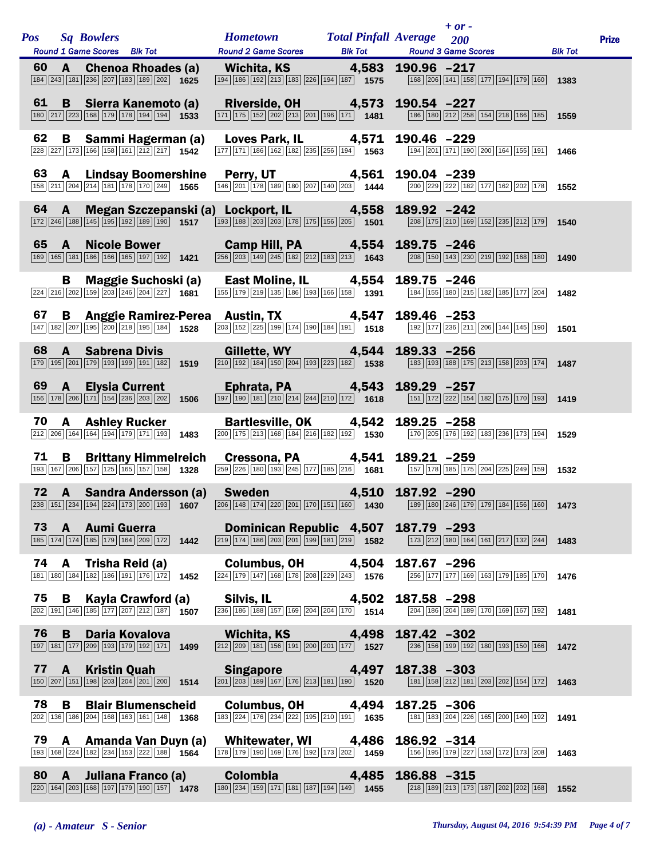| <b>Pos</b> |                | <b>Sq Bowlers</b>                                                                                                                                             |  | <b>Hometown</b>                                                                                                                                                      | <b>Total Pinfall Average</b> |                | $+ or -$<br>200                                                                                                             |                | <b>Prize</b> |
|------------|----------------|---------------------------------------------------------------------------------------------------------------------------------------------------------------|--|----------------------------------------------------------------------------------------------------------------------------------------------------------------------|------------------------------|----------------|-----------------------------------------------------------------------------------------------------------------------------|----------------|--------------|
| 60         | $\mathbf{A}$   | Round 1 Game Scores Blk Tot<br><b>Chenoa Rhoades (a)</b>                                                                                                      |  | <b>Round 2 Game Scores</b><br>Wichita, KS 4,583                                                                                                                      | <b>Blk Tot</b>               | 190.96 -217    | <b>Round 3 Game Scores</b>                                                                                                  | <b>Blk Tot</b> |              |
|            |                | 184 243 181 236 207 183 189 202 1625                                                                                                                          |  | 194 186 192 213 183 226 194 187 1575                                                                                                                                 |                              |                | [168] 206 [141] 158 [177] 194 [179] 160 1383                                                                                |                |              |
| 61         |                | <b>B</b> Sierra Kanemoto (a)<br>$\boxed{180}\boxed{217}\boxed{223}\boxed{168}\boxed{179}\boxed{178}\boxed{194}\boxed{194}$ 1533                               |  | Riverside, OH 4,573<br>$\boxed{171} \boxed{175} \boxed{152} \boxed{202} \boxed{203} \boxed{201} \boxed{196} \boxed{171}$ <b>1481</b>                                 |                              | 190.54 -227    | 186 180 212 258 154 218 166 185 1559                                                                                        |                |              |
| 62         | B              | Sammi Hagerman (a)<br>$\overline{ 228   227   173   166   158   161   212   217 }$ 1542                                                                       |  | Loves Park, IL 4,571<br>$\boxed{177}$ $\boxed{171}$ $\boxed{186}$ $\boxed{162}$ $\boxed{182}$ $\boxed{235}$ $\boxed{256}$ $\boxed{194}$ $\boxed{1563}$               |                              | 190.46 -229    | 194 201 171 190 200 164 155 191                                                                                             | 1466           |              |
| 63         | A              | <b>Lindsay Boomershine</b><br>158 211 204 214 181 178 170 249 1565                                                                                            |  | <b>Perry, UT</b> 4,561<br>$\boxed{146}\boxed{201}\boxed{178}\boxed{189}\boxed{180}\boxed{207}\boxed{140}\boxed{203}$ 1444                                            |                              | 190.04 -239    | 200 229 222 182 177 162 202 178 1552                                                                                        |                |              |
| 64         | A              | $\boxed{172}$ $\boxed{246}$ $\boxed{188}$ $\boxed{145}$ $\boxed{195}$ $\boxed{192}$ $\boxed{189}$ $\boxed{190}$ $\boxed{1517}$                                |  | Megan Szczepanski (a) Lockport, IL 4,558<br>$\sqrt{193 \cdot 188 \cdot 203 \cdot 203 \cdot 178 \cdot 175 \cdot 156 \cdot 205}}$ 1501                                 |                              | 189.92 -242    | 208 175 210 169 152 235 212 179 1540                                                                                        |                |              |
| 65         | $\mathbf{A}$   | <b>Nicole Bower</b><br>169 165 181 186 166 165 197 192 1421                                                                                                   |  | Camp Hill, PA 4,554<br>$\overline{ 256 } 203   149   245   182   212   183   213 $ 1643                                                                              |                              | 189.75 -246    | $\boxed{208}$ 150 143 230 219 192 168 180                                                                                   | 1490           |              |
|            | В              | <b>Maggie Suchoski (a)</b><br>$\overline{224}$ $\overline{216}$ $\overline{202}$ 159 $\overline{203}$ $\overline{246}$ $\overline{204}$ $\overline{227}$ 1681 |  | <b>East Moline, IL</b> 4,554<br>155 179 219 135 186 193 166 158 1391                                                                                                 |                              | $189.75 - 246$ | 184 155 180 215 182 185 177 204                                                                                             | 1482           |              |
| 67         | B.             | 147 182 207 195 200 218 195 184 1528                                                                                                                          |  | Anggie Ramirez-Perea Austin, TX 4,547<br>$\overline{ 203 } 152 $ $\overline{ 225 } 199 $ $\overline{ 174 } 190 $ $\overline{ 184 } 191 $ <b>1518</b>                 |                              | 189.46 -253    | $\boxed{192}$ $\boxed{177}$ $\boxed{236}$ $\boxed{211}$ $\boxed{206}$ $\boxed{144}$ $\boxed{145}$ $\boxed{190}$ <b>1501</b> |                |              |
| 68         | $\mathbf{A}$   | <b>Sabrena Divis</b><br>179 195 201 179 193 199 191 182 1519                                                                                                  |  | Gillette, WY 4,544<br>$\boxed{210}$ $\boxed{192}$ $\boxed{184}$ $\boxed{150}$ $\boxed{204}$ $\boxed{193}$ $\boxed{223}$ $\boxed{182}$ <b>1538</b>                    |                              | 189.33 -256    | 183 193 188 175 213 158 203 174 1487                                                                                        |                |              |
| 69         | $\mathbf{A}$   | <b>Elysia Current</b><br>$\boxed{156}$ $\boxed{178}$ $\boxed{206}$ $\boxed{171}$ $\boxed{154}$ $\boxed{236}$ $\boxed{203}$ $\boxed{202}$ <b>1506</b>          |  | Ephrata, PA 4,543<br>$\overline{197}$ 190 181 210 214 244 210 172 1618                                                                                               |                              | 189.29 -257    | 151 172 222 154 182 175 170 193 1419                                                                                        |                |              |
| 70         | A              | <b>Ashley Rucker</b><br>$\boxed{212}$ $\boxed{206}$ $\boxed{164}$ $\boxed{164}$ $\boxed{194}$ $\boxed{179}$ $\boxed{171}$ $\boxed{193}$ <b>1483</b>           |  | Bartlesville, OK 4,542<br>$\boxed{200}$ 175 213 168 184 216 182 192 1930                                                                                             |                              | $189.25 - 258$ | 170 205 176 192 183 236 173 194                                                                                             | 1529           |              |
| 71         | B              | <b>Brittany Himmelreich</b><br>193 167 206 157 125 165 157 158 1328                                                                                           |  | Cressona, PA 4,541<br>$\overline{259}$ $\overline{226}$ 180 193 245 177 185 216 1681                                                                                 |                              | 189.21 -259    | 157 178 185 175 204 225 249 159 1532                                                                                        |                |              |
| 72         |                |                                                                                                                                                               |  | A Sandra Andersson (a) Sweden 4,510<br>238 151 234 139 234 139 234 139 200 139 1607 206 148 174 220 201 170 151 160 181 200 189 189 246 179 179 179 184 156 160 1473 |                              | 187.92 -290    |                                                                                                                             |                |              |
| 73         | $\mathbf{A}$   | <b>Aumi Guerra</b><br>185 174 174 185 179 164 209 172 1442                                                                                                    |  | Dominican Republic 4,507<br>$\boxed{219}$ $\boxed{174}$ $\boxed{186}$ $\boxed{203}$ $\boxed{201}$ $\boxed{199}$ $\boxed{181}$ $\boxed{219}$ <b>1582</b>              |                              | 187.79 -293    | [173] 212 180 164 161 217 132 244 1483                                                                                      |                |              |
|            |                | <b>74 A</b> Trisha Reid (a)<br>[181] [180] [184] [182] [186] [191] [176] [172] 1452                                                                           |  | Columbus, OH 4,504<br>$\overline{224}\overline{179}\overline{178}\overline{168}\overline{178}\overline{178}\overline{208}\overline{29}\overline{243}$ 1576           |                              | 187.67 -296    | 256 177 177 169 163 179 185 170                                                                                             | 1476           |              |
| 75         | B              | Kayla Crawford (a)<br>$\boxed{202}$ 191 146 185 177 207 212 187 1507                                                                                          |  | Silvis, IL<br>$\boxed{236}$ 186 188 157 169 204 204 170 1514                                                                                                         | 4,502                        | 187.58 -298    | 204 186 204 189 170 169 167 192                                                                                             | 1481           |              |
| 76         | B              | Daria Kovalova<br>197 181 177 209 193 179 192 171 1499                                                                                                        |  | Wichita, KS<br>$\boxed{212}$ $\boxed{209}$ $\boxed{181}$ $\boxed{156}$ $\boxed{191}$ $\boxed{200}$ $\boxed{201}$ $\boxed{177}$ <b>1527</b>                           | 4,498                        | 187.42 -302    | 236 156 199 192 180 193 150 166 1472                                                                                        |                |              |
| 77         | $\overline{A}$ | <b>Kristin Quah</b><br>$\boxed{150}\boxed{207}\boxed{151}\boxed{198}\boxed{203}\boxed{204}\boxed{201}\boxed{200}$ 1514                                        |  | Singapore 4,497<br>$\boxed{201}$ $\boxed{203}$ $\boxed{189}$ $\boxed{167}$ $\boxed{176}$ $\boxed{213}$ $\boxed{181}$ $\boxed{190}$ 1520                              |                              | 187.38 -303    | 181 158 212 181 203 202 154 172                                                                                             | 1463           |              |
| 78         | B              | <b>Blair Blumenscheid</b><br>202 136 186 204 168 163 161 148 1368                                                                                             |  | <b>Columbus, OH</b><br>$\boxed{183}\boxed{224}\boxed{176}\boxed{234}\boxed{222}\boxed{195}\boxed{210}\boxed{191}$ 1635                                               | 4,494                        | $187.25 - 306$ | 181   183   204   226   165   200   140   192                                                                               | 1491           |              |
| 79         | A              | Amanda Van Duyn (a)<br>193 168 224 182 234 153 222 188 1564                                                                                                   |  | Whitewater, WI<br>178 179 190 169 176 192 173 202 1459                                                                                                               | 4,486                        | $186.92 - 314$ | 156 195 179 227 153 172 173 208                                                                                             | 1463           |              |
| 80         | A              | Juliana Franco (a)<br>220 164 203 168 197 179 190 157 1478                                                                                                    |  | Colombia<br>$\boxed{180}$ $\boxed{234}$ $\boxed{159}$ $\boxed{171}$ $\boxed{181}$ $\boxed{187}$ $\boxed{194}$ $\boxed{149}$ <b>1455</b>                              | 4,485                        | 186.88 -315    | $\boxed{218}$ 189 $\boxed{213}$ 173 187 202 202 168 1552                                                                    |                |              |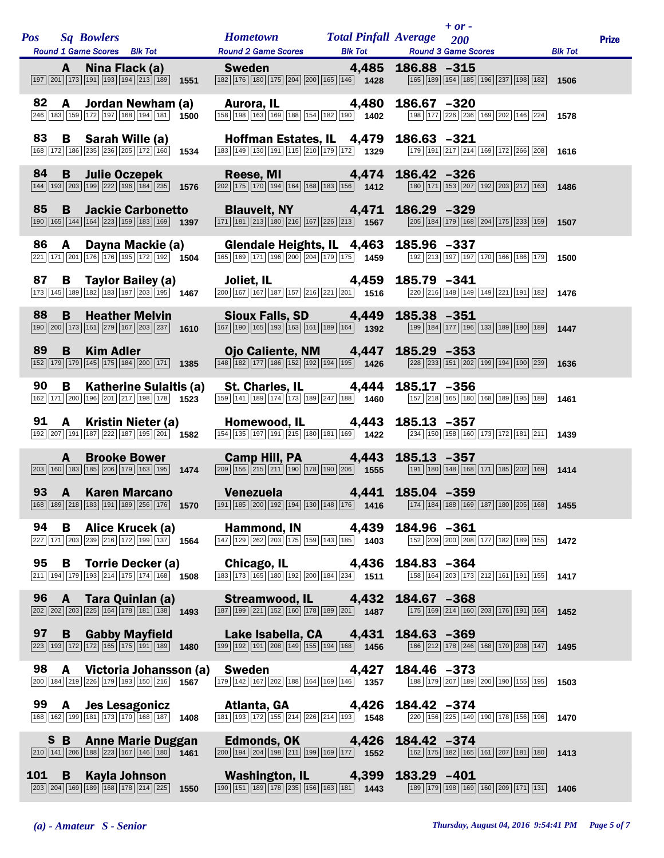|     |              | Pos Sq Bowlers<br><b>Round 1 Game Scores</b> Blk Tot                                                                                          |      | <b>Hometown</b><br><b>Round 2 Game Scores</b>                                                                                                                                                                                                       | <b>Total Pinfall Average</b><br><b>Blk Tot</b> | <b>Round 3 Game Scores</b> | $+$ or $-$<br>200 |                                                                                                                 | <b>Blk Tot</b> | <b>Prize</b> |
|-----|--------------|-----------------------------------------------------------------------------------------------------------------------------------------------|------|-----------------------------------------------------------------------------------------------------------------------------------------------------------------------------------------------------------------------------------------------------|------------------------------------------------|----------------------------|-------------------|-----------------------------------------------------------------------------------------------------------------|----------------|--------------|
|     | A            | Nina Flack (a)<br>$\boxed{197}$ $\boxed{201}$ $\boxed{173}$ $\boxed{191}$ $\boxed{193}$ $\boxed{194}$ $\boxed{213}$ $\boxed{189}$ <b>1551</b> |      | Sweden<br>182 176 180 175 204 200 165 146 1428                                                                                                                                                                                                      | 4,485                                          | $186.88 - 315$             |                   | 165 189 154 185 196 237 198 182 1506                                                                            |                |              |
| 82  | A            | Jordan Newham (a)<br>246 183 159 172 197 168 194 181 1500                                                                                     |      | <b>Aurora, IL</b> 4,480<br>$\frac{1}{\sqrt{158}}\left[\frac{1}{198}\right]\left[\frac{1}{163}\right]\left[\frac{1}{169}\right]\left[\frac{1}{188}\right]\left[\frac{1}{154}\right]\left[\frac{1}{182}\right]\left[\frac{1}{190}\right]$ <b>1402</b> |                                                | $186.67 - 320$             |                   | 198 177 226 236 169 202 146 224                                                                                 | 1578           |              |
| 83  | В            | Sarah Wille (a)<br>$\boxed{168}\boxed{172}\boxed{186}\boxed{235}\boxed{236}\boxed{205}\boxed{172}\boxed{160}$ 1534                            |      | Hoffman Estates, IL 4,479<br>183 149 130 191 15 210 179 172 1329                                                                                                                                                                                    |                                                | $186.63 - 321$             |                   | 179 191 217 214 169 172 266 208                                                                                 | 1616           |              |
| 84  | B            | <b>Julie Oczepek</b><br>144 193 203 199 222 196 184 235 1576                                                                                  |      | <b>Reese, MI</b><br>$\boxed{202}\boxed{175}\boxed{170}\boxed{194}\boxed{164}\boxed{168}\boxed{183}\boxed{156}$ 1412                                                                                                                                 | $\mathbf{4,474}$                               | $186.42 - 326$             |                   | $180 171 153 207 192 203 217 163$                                                                               | 1486           |              |
| 85  | B            | <b>Jackie Carbonetto</b><br>190 165 144 164 223 159 183 169 1397                                                                              |      | Blauvelt, NY 4,471<br>$\boxed{171}$ $\boxed{181}$ $\boxed{213}$ $\boxed{180}$ $\boxed{216}$ $\boxed{167}$ $\boxed{226}$ $\boxed{213}$ <b>1567</b>                                                                                                   |                                                | $186.29 - 329$             |                   | $\boxed{205}$ 184 179 168 204 175 233 159 1507                                                                  |                |              |
| 86  | A            | Dayna Mackie (a)<br>$\boxed{221}\boxed{171}\boxed{201}\boxed{176}\boxed{176}\boxed{195}\boxed{172}\boxed{192}$ 1504                           |      | Glendale Heights, IL 4,463<br>$\boxed{165}$ $\boxed{169}$ $\boxed{171}$ $\boxed{196}$ $\boxed{200}$ $\boxed{204}$ $\boxed{179}$ $\boxed{175}$ $\boxed{1459}$                                                                                        |                                                | 185.96 -337                |                   | 192 213 197 197 170 166 186 179                                                                                 | 1500           |              |
| 87  | В            | Taylor Bailey (a)<br>173 145 189 182 183 197 203 195 1467                                                                                     |      | Joliet, IL 4,459<br>$\boxed{200}$ 167 167 187 187 216 221 201 1516                                                                                                                                                                                  |                                                | 185.79 -341                |                   | 220 216 148 149 149 221 191 182                                                                                 | 1476           |              |
| 88  | B            | <b>Heather Melvin</b><br>190 200 173 161 279 167 203 237 1610                                                                                 |      | Sioux Falls, SD 4,449<br>167 190 165 193 163 161 189 164 1392                                                                                                                                                                                       |                                                | 185.38 -351                |                   | 199 184 177 196 133 189 180 189 189                                                                             |                |              |
| 89  | B            | <b>Kim Adler</b><br>152 179 179 145 175 184 200 171 1385                                                                                      |      | Ojo Caliente, NM 4,447<br>$\boxed{148}\boxed{182}\boxed{177}\boxed{186}\boxed{152}\boxed{192}\boxed{194}\boxed{195}$ 1426                                                                                                                           |                                                | $185.29 - 353$             |                   | $\boxed{228}\boxed{233}\boxed{151}\boxed{202}\boxed{199}\boxed{194}\boxed{190}\boxed{239}$ 1636                 |                |              |
| 90  | B            | Katherine Sulaitis (a)<br>162 171 200 196 201 217 198 178 1523                                                                                |      | St. Charles, IL 4,444<br>$\boxed{159}$ $\boxed{141}$ $\boxed{189}$ $\boxed{174}$ $\boxed{173}$ $\boxed{189}$ $\boxed{247}$ $\boxed{188}$ $\boxed{1460}$                                                                                             |                                                | $185.17 - 356$             |                   | 157 218 165 180 168 189 195 189                                                                                 | 1461           |              |
| 91  | $\mathbf{A}$ | Kristin Nieter (a)<br>192 207 191 187 222 187 195 201 1582                                                                                    |      | Homewood, IL 4,443<br>$\boxed{154}$ $\boxed{135}$ $\boxed{197}$ $\boxed{191}$ $\boxed{215}$ $\boxed{180}$ $\boxed{181}$ $\boxed{169}$ $\boxed{169}$                                                                                                 |                                                | $185.13 - 357$             |                   | $\boxed{234}$ $\boxed{150}$ $\boxed{158}$ $\boxed{160}$ $\boxed{173}$ $\boxed{172}$ $\boxed{181}$ $\boxed{211}$ | 1439           |              |
|     | A            | <b>Brooke Bower</b><br>$\boxed{203}$ 160 183 185 206 179 163 195 1474                                                                         |      | Camp Hill, PA 4,443<br>$\boxed{209}$ 156 $\boxed{215}$ $\boxed{211}$ 190 178 190 206 1555                                                                                                                                                           |                                                | $185.13 - 357$             |                   | 191 180 148 168 171 185 202 169 1414                                                                            |                |              |
| 93  | $\mathsf{A}$ | <b>Karen Marcano</b>                                                                                                                          |      | Venezuela 4,441 185.04 -359<br>168 189 218 183 191 189 256 176 1570 191 185 200 192 194 130 148 176 1416 1774 184 188 169 187 180 205 168 1455                                                                                                      |                                                |                            |                   |                                                                                                                 |                |              |
| 94  | В            | Alice Krucek (a)<br>227 171 203 239 216 172 199 137 1564                                                                                      |      | Hammond, IN 4,439<br>$\boxed{147}$ $\boxed{129}$ $\boxed{262}$ $\boxed{203}$ $\boxed{175}$ $\boxed{159}$ $\boxed{143}$ $\boxed{185}$ <b>1403</b>                                                                                                    |                                                | 184.96 -361                |                   | 152 209 200 208 177 182 189 155 1472                                                                            |                |              |
|     |              | 95 <b>B</b> Torrie Decker (a)<br>$\frac{[211][194][178][193][214][175][174][168]}{[175][174][168]}$ 1508                                      |      | <b>Chicago, IL</b> 4,436<br>183 173 165 180 192 200 184 234 1511                                                                                                                                                                                    |                                                | $184.83 - 364$             |                   | 158 164 203 173 212 161 191 155                                                                                 | 1417           |              |
| 96  | $\mathbf{A}$ | Tara Quinlan (a)<br>$\boxed{202}\boxed{202}\boxed{203}\boxed{225}\boxed{164}\boxed{178}\boxed{181}\boxed{138}$ 1493                           |      | Streamwood, IL 4,432<br>$\boxed{187}$ $\boxed{199}$ $\boxed{221}$ $\boxed{152}$ $\boxed{160}$ $\boxed{178}$ $\boxed{189}$ $\boxed{201}$ $\boxed{1487}$                                                                                              |                                                | 184.67 -368                |                   | 175 169 214 160 203 176 191 164                                                                                 | 1452           |              |
| 97  |              | 97 B Gabby Mayfield<br>223 193 172 172 165 175 191 189 1480                                                                                   |      | Lake Isabella, CA 4,431<br>$\boxed{199}$ $\boxed{192}$ $\boxed{191}$ $\boxed{208}$ $\boxed{149}$ $\boxed{155}$ $\boxed{194}$ $\boxed{168}$ $\boxed{1456}$                                                                                           |                                                | 184.63 -369                |                   | 166 212 178 246 168 170 208 147                                                                                 | 1495           |              |
| 98  | $\mathbf{A}$ | Victoria Johansson (a)<br>$\boxed{200}\boxed{184}\boxed{219}\boxed{226}\boxed{179}\boxed{193}\boxed{150}\boxed{216}$ 1567                     |      | <b>Sweden Sweden</b><br>$\boxed{179}$ $\boxed{142}$ $\boxed{167}$ $\boxed{202}$ $\boxed{188}$ $\boxed{164}$ $\boxed{169}$ $\boxed{146}$ $\boxed{1357}$                                                                                              | 4,427                                          | 184.46 -373                |                   | 188 179 207 189 200 190 155 195                                                                                 | 1503           |              |
| 99  | $\mathbf{A}$ | <b>Jes Lesagonicz</b><br>$\boxed{168}\boxed{162}\boxed{199}\boxed{181}\boxed{173}\boxed{170}\boxed{168}\boxed{187}$ 1408                      |      | Atlanta, GA 4,426<br>$\boxed{181}$ $\boxed{193}$ $\boxed{172}$ $\boxed{155}$ $\boxed{214}$ $\boxed{226}$ $\boxed{214}$ $\boxed{193}$ $\boxed{1548}$                                                                                                 |                                                | 184.42 -374                |                   | 220 156 225 149 190 178 156 196                                                                                 | 1470           |              |
|     | S B          | <b>Anne Marie Duggan</b><br>$\boxed{210}$ 141 206 188 223 167 146 180 180                                                                     |      | <b>Edmonds, OK 4,426</b><br>$\boxed{200}$ $\boxed{194}$ $\boxed{204}$ $\boxed{198}$ $\boxed{211}$ $\boxed{199}$ $\boxed{169}$ $\boxed{177}$ <b>1552</b>                                                                                             |                                                | 184.42 -374                |                   | $\boxed{162}$ $\boxed{175}$ $\boxed{182}$ $\boxed{165}$ $\boxed{161}$ $\boxed{207}$ $\boxed{181}$ $\boxed{180}$ | 1413           |              |
| 101 | B            | Kayla Johnson<br>$\boxed{203}\ \boxed{204}\ \boxed{169}\ \boxed{189}\ \boxed{168}\ \boxed{178}\ \boxed{214}\ \boxed{225}$                     | 1550 | Washington, IL 4,399<br>$\boxed{190}$ $\boxed{151}$ $\boxed{189}$ $\boxed{178}$ $\boxed{235}$ $\boxed{156}$ $\boxed{163}$ $\boxed{181}$ $\boxed{1443}$                                                                                              |                                                | 183.29 -401                |                   | 189 179 198 169 160 209 171 131                                                                                 | 1406           |              |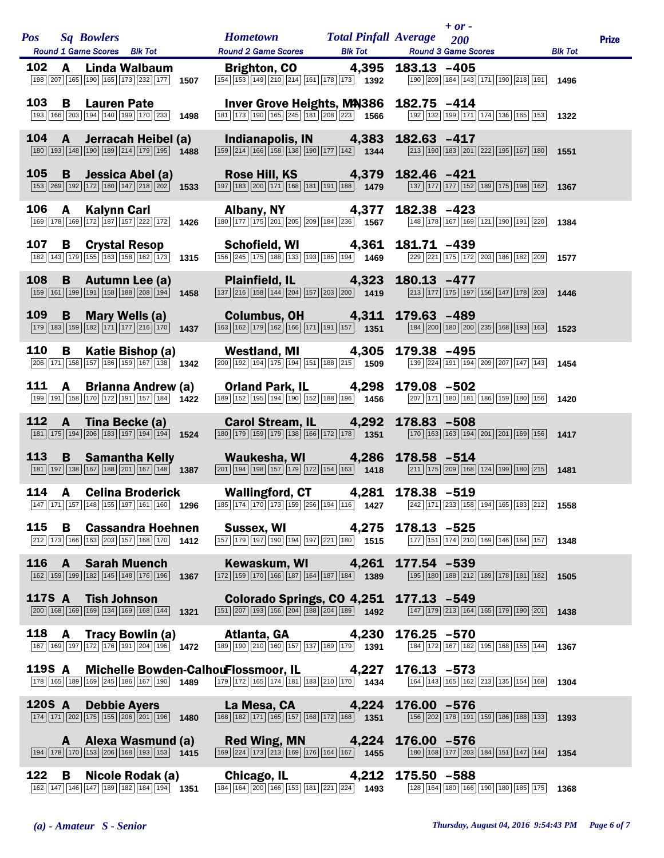| <b>Pos</b> |              | <b>Sq Bowlers</b><br>Round 1 Game Scores Blk Tot                                                                                                       | Hometown Total Pinfall Average 200<br>Round 2 Game Scores Blk Tot Round 3 Game Scores                                                                                                                                                                                                           |                | $+$ or -                                                                                                                    | <b>Blk Tot</b> | <b>Prize</b> |
|------------|--------------|--------------------------------------------------------------------------------------------------------------------------------------------------------|-------------------------------------------------------------------------------------------------------------------------------------------------------------------------------------------------------------------------------------------------------------------------------------------------|----------------|-----------------------------------------------------------------------------------------------------------------------------|----------------|--------------|
| 102        |              | A Linda Walbaum<br>198 207 165 190 165 173 232 177 1507                                                                                                | <b>Brighton, CO</b> 4,395 183.13 -405                                                                                                                                                                                                                                                           |                | 190 209 184 143 171 190 218 191 1496                                                                                        |                |              |
| 103        |              | <b>B</b> Lauren Pate<br>193 166 203 194 140 199 170 233 1498                                                                                           | Inver Grove Heights, MA386 182.75 -414<br>$\boxed{181}$ $\boxed{173}$ $\boxed{190}$ $\boxed{165}$ $\boxed{245}$ $\boxed{181}$ $\boxed{208}$ $\boxed{223}$ <b>1566</b>                                                                                                                           |                | $\boxed{192}$ $\boxed{132}$ $\boxed{199}$ $\boxed{171}$ $\boxed{174}$ $\boxed{136}$ $\boxed{165}$ $\boxed{153}$ <b>1322</b> |                |              |
| 104        |              | A Jerracah Heibel (a)<br>180 193 148 190 189 214 179 195 1488                                                                                          | Indianapolis, IN 4,383 182.63 -417<br>$\frac{1}{159}$ 214 166 158 138 139 177 142 1344                                                                                                                                                                                                          |                | $\boxed{213}\boxed{190}\boxed{183}\boxed{201}\boxed{222}\boxed{195}\boxed{167}\boxed{180}$                                  | 1551           |              |
| <b>105</b> | B            | Jessica Abel (a)<br>$\boxed{153}$ $\boxed{269}$ $\boxed{192}$ $\boxed{172}$ $\boxed{180}$ $\boxed{147}$ $\boxed{218}$ $\boxed{202}$ $\boxed{1533}$     | Rose Hill, KS   4,379   182.46 $-421$ $\frac{197}{183}$ $\frac{200}{171}$ $\frac{168}{168}$ 181   191   188   1479 $\frac{137}{177}$ $\frac{177}{172}$ 152                                                                                                                                      |                | $\boxed{137}$ $\boxed{177}$ $\boxed{177}$ $\boxed{152}$ $\boxed{189}$ $\boxed{175}$ $\boxed{198}$ $\boxed{162}$ <b>1367</b> |                |              |
| 106 A      |              | <b>Kalynn Carl</b><br>169 178 169 172 187 157 222 172 1426                                                                                             | Albany, NY 4,377<br>$\boxed{180}$ $\boxed{177}$ $\boxed{175}$ $\boxed{201}$ $\boxed{205}$ $\boxed{209}$ $\boxed{184}$ $\boxed{236}$ 1567                                                                                                                                                        | 182.38 -423    | 148 178 167 169 121 190 191 220 1384                                                                                        |                |              |
| 107        |              | <b>B</b> Crystal Resop<br>$\boxed{182}\boxed{143}\boxed{179}\boxed{155}\boxed{163}\boxed{158}\boxed{162}\boxed{173}$ 1315                              | $\overline{156}\overline{245}\overline{175}\overline{178}\overline{188}\overline{133}\overline{193}\overline{185}\overline{194}$ 1469                                                                                                                                                           |                | 229 221 175 172 203 186 182 209 1577                                                                                        |                |              |
| 108        |              | <b>B</b> Autumn Lee (a)<br>$\boxed{159}$ $\boxed{161}$ $\boxed{199}$ $\boxed{191}$ $\boxed{158}$ $\boxed{188}$ $\boxed{208}$ $\boxed{194}$ <b>1458</b> | Plainfield, IL 4,323 180.13 -477<br>$\boxed{137}$ $\boxed{216}$ $\boxed{158}$ $\boxed{144}$ $\boxed{204}$ $\boxed{157}$ $\boxed{203}$ $\boxed{200}$ $\boxed{1419}$                                                                                                                              |                | 213 177 175 197 156 147 178 203 1446                                                                                        |                |              |
| 109        | B            | <b>Mary Wells (a)</b><br>$\boxed{179}$ $\boxed{183}$ $\boxed{159}$ $\boxed{182}$ $\boxed{171}$ $\boxed{177}$ $\boxed{216}$ $\boxed{170}$ 1437          | Columbus, OH 4,311 179.63 -489<br>$\boxed{163}$ $\boxed{162}$ $\boxed{179}$ $\boxed{162}$ $\boxed{166}$ $\boxed{171}$ $\boxed{191}$ $\boxed{157}$ $\boxed{1351}$                                                                                                                                |                | 184 200 180 200 235 168 193 163 1523                                                                                        |                |              |
| 110        |              | <b>B</b> Katie Bishop (a)<br>$\boxed{206}$ 171 158 157 186 159 167 138 1342                                                                            | Westland, MI 4,305 179.38 -495<br>$\boxed{200}$ $\boxed{192}$ $\boxed{194}$ $\boxed{175}$ $\boxed{194}$ $\boxed{151}$ $\boxed{188}$ $\boxed{215}$ $\boxed{1509}$ $\boxed{139}$ $\boxed{224}$ $\boxed{191}$ $\boxed{194}$ $\boxed{209}$ $\boxed{207}$ $\boxed{147}$ $\boxed{143}$ $\boxed{1454}$ |                |                                                                                                                             |                |              |
| 111        |              | A Brianna Andrew (a)<br>$\boxed{199}$ $\boxed{191}$ $\boxed{158}$ $\boxed{170}$ $\boxed{172}$ $\boxed{191}$ $\boxed{157}$ $\boxed{184}$ $\boxed{1422}$ | Orland Park, IL 4,298 179.08 -502<br>$\boxed{189}$ $\boxed{152}$ $\boxed{195}$ $\boxed{194}$ $\boxed{190}$ $\boxed{152}$ $\boxed{188}$ $\boxed{196}$ $\boxed{1456}$                                                                                                                             |                | 207 171 180 181 186 159 180 156                                                                                             | 1420           |              |
| 112        | $\mathbf{A}$ | Tina Becke (a)<br>$\boxed{181}$ $\boxed{175}$ $\boxed{194}$ $\boxed{206}$ $\boxed{183}$ $\boxed{197}$ $\boxed{194}$ $\boxed{194}$ <b>1524</b>          | Carol Stream, IL 4,292 178.83 -508<br>$\boxed{180}$ $\boxed{179}$ $\boxed{159}$ $\boxed{179}$ $\boxed{138}$ $\boxed{166}$ $\boxed{172}$ $\boxed{178}$ $\boxed{1351}$                                                                                                                            |                | $\boxed{170}$ $\boxed{163}$ $\boxed{163}$ $\boxed{194}$ $\boxed{201}$ $\boxed{201}$ $\boxed{169}$ $\boxed{156}$ <b>1417</b> |                |              |
| <b>113</b> |              | <b>B</b> Samantha Kelly<br>$\boxed{181}$ $\boxed{197}$ $\boxed{138}$ $\boxed{167}$ $\boxed{188}$ $\boxed{201}$ $\boxed{167}$ $\boxed{148}$ 1387        | Waukesha, WI 4,286 178.58 -514<br>$\boxed{201}$ $\boxed{194}$ $\boxed{198}$ $\boxed{157}$ $\boxed{179}$ $\boxed{172}$ $\boxed{154}$ $\boxed{163}$ $\boxed{1418}$                                                                                                                                |                | $\boxed{211}$ 175 209 168 124 199 180 215 1481                                                                              |                |              |
|            |              | 114 A Celina Broderick                                                                                                                                 | Wallingford, CT 4,281 178.38 -519                                                                                                                                                                                                                                                               |                |                                                                                                                             |                |              |
| 115        | B            | <b>Cassandra Hoehnen</b><br>212 173 166 163 203 157 168 170 1412                                                                                       | Sussex, WI 4,275<br>$\boxed{157}$ $\boxed{179}$ $\boxed{197}$ $\boxed{190}$ $\boxed{194}$ $\boxed{197}$ $\boxed{221}$ $\boxed{180}$ (1515)                                                                                                                                                      | 178.13 -525    | $\boxed{177}$ 151 174 210 169 146 164 157 1348                                                                              |                |              |
|            |              | 116 A Sarah Muench<br>162 159 199 182 145 148 176 196 1367                                                                                             | Kewaskum, WI 4,261<br>$\frac{1}{2}$ 1389 170 166 187 164 187 184 184 1389                                                                                                                                                                                                                       | 177.54 -539    | 195 180 188 212 189 178 181 182                                                                                             | 1505           |              |
|            |              | 117S A Tish Johnson<br>200 168 169 169 134 169 168 144 1321                                                                                            | Colorado Springs, CO 4,251 177.13 -549<br>$\boxed{151}$ $\boxed{207}$ $\boxed{193}$ $\boxed{156}$ $\boxed{204}$ $\boxed{188}$ $\boxed{204}$ $\boxed{189}$ $\boxed{1492}$                                                                                                                        |                | $\boxed{147}$ $\boxed{179}$ $\boxed{213}$ $\boxed{164}$ $\boxed{165}$ $\boxed{179}$ $\boxed{190}$ $\boxed{201}$ <b>1438</b> |                |              |
| 118 A      |              | Tracy Bowlin (a)<br>167 169 197 172 176 191 204 196 1472                                                                                               | Atlanta, GA 4,230<br>$\boxed{189}$ $\boxed{190}$ $\boxed{210}$ $\boxed{160}$ $\boxed{157}$ $\boxed{137}$ $\boxed{169}$ $\boxed{179}$ $\boxed{1391}$                                                                                                                                             | $176.25 - 570$ | 184 172 167 182 195 168 155 144 1367                                                                                        |                |              |
| 119S A     |              | 178 165 189 169 245 186 167 190 1489                                                                                                                   | Michelle Bowden-CalhouFlossmoor, IL 4,227<br>$\boxed{179}$ $\boxed{172}$ $\boxed{165}$ $\boxed{174}$ $\boxed{181}$ $\boxed{183}$ $\boxed{210}$ $\boxed{170}$ <b>1434</b>                                                                                                                        | $176.13 - 573$ | 164 143 165 162 213 135 154 168 1304                                                                                        |                |              |
| 120S A     |              | <b>Debbie Ayers</b><br>$\boxed{174}\boxed{171}\boxed{202}\boxed{175}\boxed{155}\boxed{206}\boxed{201}\boxed{196}$ 1480                                 | La Mesa, CA 4,224 176.00 -576<br>$\boxed{168}\boxed{182}\boxed{171}\boxed{165}\boxed{157}\boxed{168}\boxed{172}\boxed{168}$ 1351                                                                                                                                                                |                | 156 202 178 191 159 186 188 133                                                                                             | 1393           |              |
|            |              | A Alexa Wasmund (a)<br>$\boxed{194}$ $\boxed{178}$ $\boxed{170}$ $\boxed{153}$ $\boxed{206}$ $\boxed{168}$ $\boxed{193}$ $\boxed{153}$ $\boxed{1415}$  | Red Wing, MN 4,224 176.00 -576<br>$\boxed{169}$ $\boxed{224}$ $\boxed{173}$ $\boxed{213}$ $\boxed{169}$ $\boxed{176}$ $\boxed{164}$ $\boxed{167}$ 1455                                                                                                                                          |                | 180 168 177 203 184 151 147 144 1354                                                                                        |                |              |
| 122        | B            | Nicole Rodak (a)<br>162 147 146 147 189 182 184 194 1351                                                                                               | Chicago, IL 4,212 175.50 -588<br>$\overline{184}$ 164 200 166 153 181 221 224 1493                                                                                                                                                                                                              |                | 128 164 180 166 190 180 185 175                                                                                             | 1368           |              |